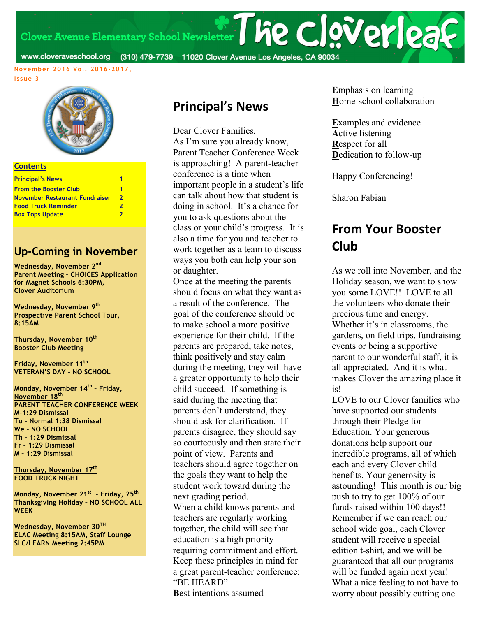Clover Avenue Elementary School Newsletter | he clover | 23

www.cloveraveschool.org (310) 479-7739 11020 Clover Avenue Los Angeles, CA 90034

**November 2016 Vol. 2016-2017,** 

#### **Issue 3**



#### **Contents**

| <b>Principal's News</b>        |   |
|--------------------------------|---|
|                                |   |
| <b>From the Booster Club</b>   |   |
| November Restaurant Fundraiser | 2 |
| <b>Food Truck Reminder</b>     | 2 |
| <b>Box Tops Update</b>         | 2 |
|                                |   |

#### **Up-Coming in November**

**Wednesday, November 2nd Parent Meeting – CHOICES Application for Magnet Schools 6:30PM, Clover Auditorium**

**Wednesday, November 9th Prospective Parent School Tour, 8:15AM**

**Thursday, November 10th Booster Club Meeting**

**Friday, November 11th VETERAN'S DAY – NO SCHOOL**

**Monday, November 14th – Friday, November 18th PARENT TEACHER CONFERENCE WEEK M-1:29 Dismissal Tu – Normal 1:38 Dismissal We – NO SCHOOL Th – 1:29 Dismissal Fr – 1:29 Dismissal M – 1:29 Dismissal**

**Thursday, November 17th FOOD TRUCK NIGHT**

**Monday, November 21st – Friday, 25th Thanksgiving Holiday – NO SCHOOL ALL WEEK**

**Wednesday, November 30TH ELAC Meeting 8:15AM, Staff Lounge SLC/LEARN Meeting 2:45PM**

### **Principal's News**

Dear Clover Families, As I'm sure you already know, Parent Teacher Conference Week is approaching! A parent-teacher conference is a time when important people in a student's life can talk about how that student is doing in school. It's a chance for you to ask questions about the class or your child's progress. It is also a time for you and teacher to work together as a team to discuss ways you both can help your son or daughter.

Once at the meeting the parents should focus on what they want as a result of the conference. The goal of the conference should be to make school a more positive experience for their child. If the parents are prepared, take notes, think positively and stay calm during the meeting, they will have a greater opportunity to help their child succeed. If something is said during the meeting that parents don't understand, they should ask for clarification. If parents disagree, they should say so courteously and then state their point of view. Parents and teachers should agree together on the goals they want to help the student work toward during the next grading period. When a child knows parents and teachers are regularly working together, the child will see that education is a high priority requiring commitment and effort. Keep these principles in mind for a great parent-teacher conference: "BE HEARD" **B**est intentions assumed

**E**mphasis on learning **H**ome-school collaboration

**E**xamples and evidence **A**ctive listening **R**espect for all **D**edication to follow-up

Happy Conferencing!

Sharon Fabian

### **From Your Booster Club**

As we roll into November, and the Holiday season, we want to show you some LOVE!! LOVE to all the volunteers who donate their precious time and energy. Whether it's in classrooms, the gardens, on field trips, fundraising events or being a supportive parent to our wonderful staff, it is all appreciated. And it is what makes Clover the amazing place it is!

LOVE to our Clover families who have supported our students through their Pledge for Education. Your generous donations help support our incredible programs, all of which each and every Clover child benefits. Your generosity is astounding! This month is our big push to try to get 100% of our funds raised within 100 days!! Remember if we can reach our school wide goal, each Clover student will receive a special edition t-shirt, and we will be guaranteed that all our programs will be funded again next year! What a nice feeling to not have to worry about possibly cutting one